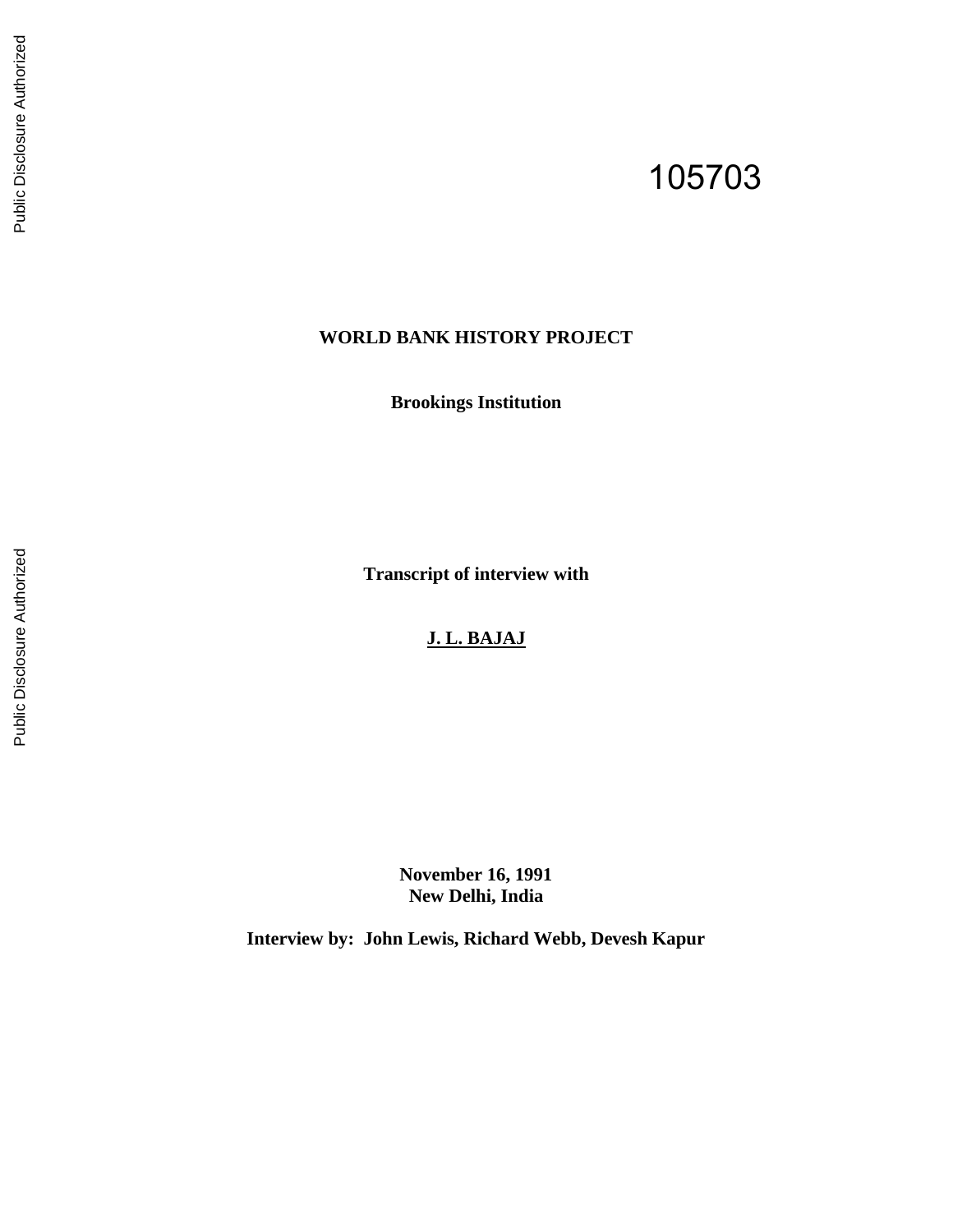# 105703

## **WORLD BANK HISTORY PROJECT**

**Brookings Institution** 

**Transcript of interview with** 

# **J. L. BAJAJ**

**November 16, 1991 New Delhi, India** 

**Interview by: John Lewis, Richard Webb, Devesh Kapur**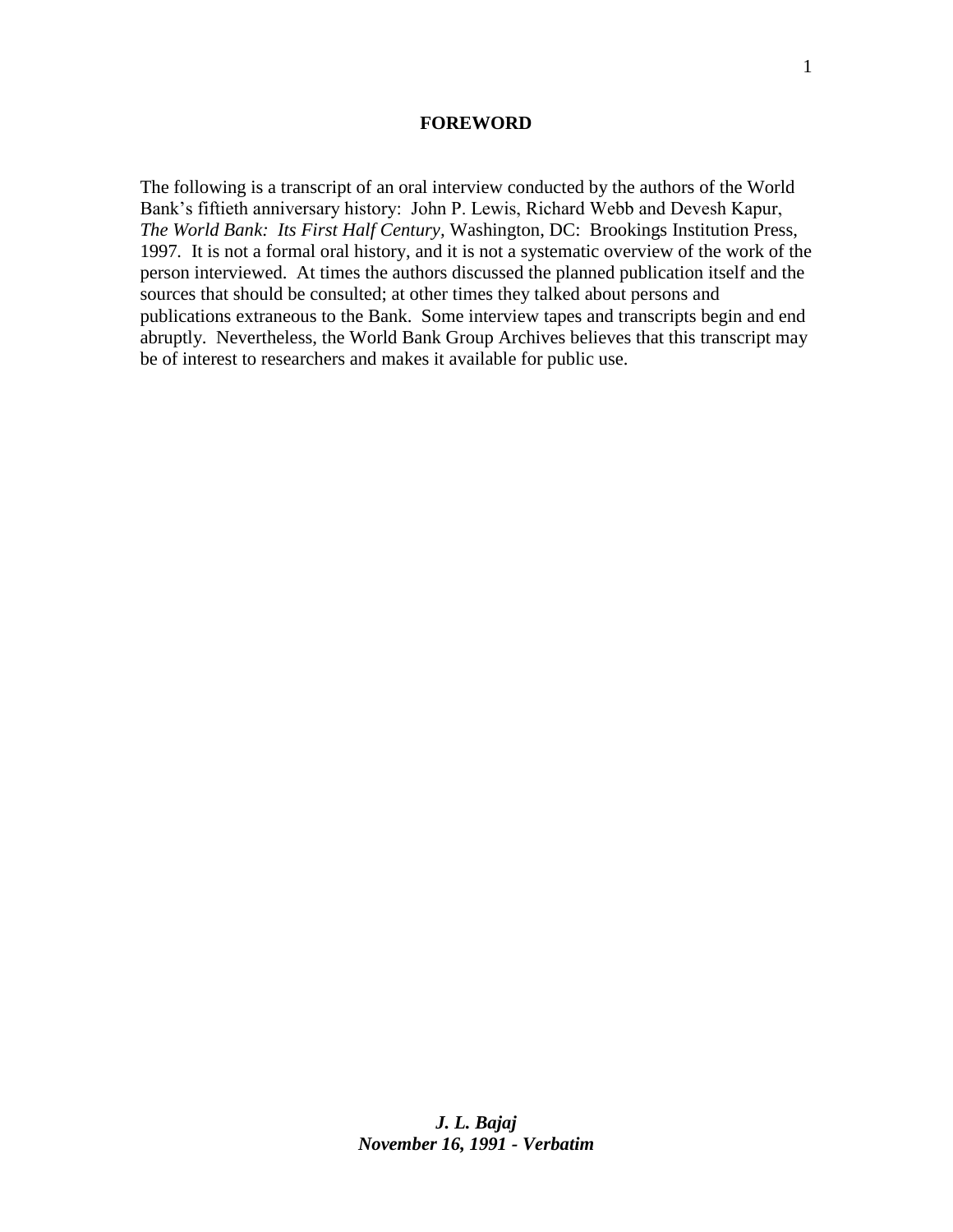#### **FOREWORD**

The following is a transcript of an oral interview conducted by the authors of the World Bank's fiftieth anniversary history: John P. Lewis, Richard Webb and Devesh Kapur, *The World Bank: Its First Half Century,* Washington, DC: Brookings Institution Press, 1997*.* It is not a formal oral history, and it is not a systematic overview of the work of the person interviewed. At times the authors discussed the planned publication itself and the sources that should be consulted; at other times they talked about persons and publications extraneous to the Bank. Some interview tapes and transcripts begin and end abruptly. Nevertheless, the World Bank Group Archives believes that this transcript may be of interest to researchers and makes it available for public use.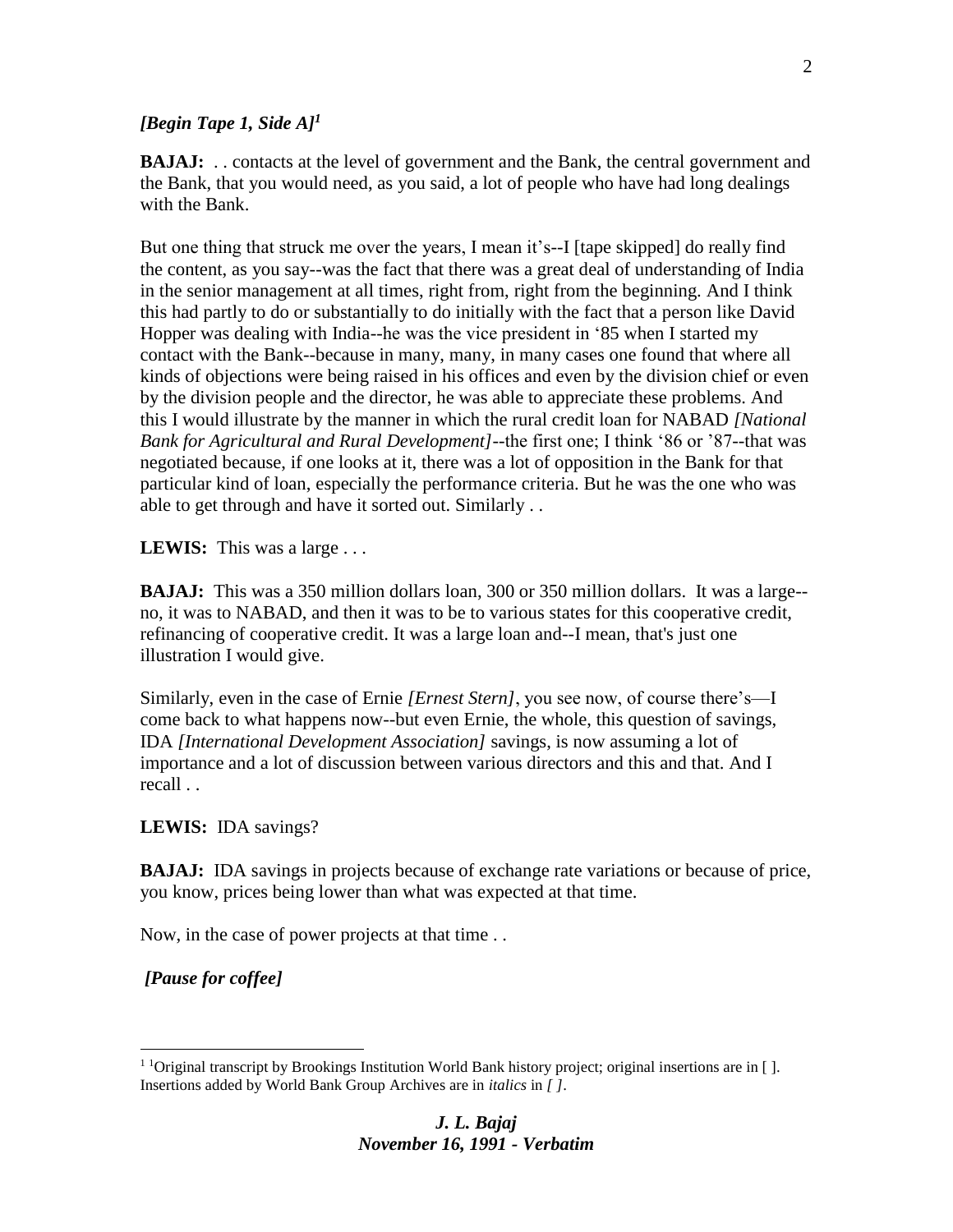#### *[Begin Tape 1, Side A]<sup>1</sup>*

**BAJAJ:** . . contacts at the level of government and the Bank, the central government and the Bank, that you would need, as you said, a lot of people who have had long dealings with the Bank.

But one thing that struck me over the years, I mean it's--I [tape skipped] do really find the content, as you say--was the fact that there was a great deal of understanding of India in the senior management at all times, right from, right from the beginning. And I think this had partly to do or substantially to do initially with the fact that a person like David Hopper was dealing with India--he was the vice president in '85 when I started my contact with the Bank--because in many, many, in many cases one found that where all kinds of objections were being raised in his offices and even by the division chief or even by the division people and the director, he was able to appreciate these problems. And this I would illustrate by the manner in which the rural credit loan for NABAD *[National Bank for Agricultural and Rural Development]*--the first one; I think '86 or '87--that was negotiated because, if one looks at it, there was a lot of opposition in the Bank for that particular kind of loan, especially the performance criteria. But he was the one who was able to get through and have it sorted out. Similarly . .

LEWIS: This was a large . . .

**BAJAJ:** This was a 350 million dollars loan, 300 or 350 million dollars. It was a large- no, it was to NABAD, and then it was to be to various states for this cooperative credit, refinancing of cooperative credit. It was a large loan and--I mean, that's just one illustration I would give.

Similarly, even in the case of Ernie *[Ernest Stern]*, you see now, of course there's—I come back to what happens now--but even Ernie, the whole, this question of savings, IDA *[International Development Association]* savings, is now assuming a lot of importance and a lot of discussion between various directors and this and that. And I recall . .

**LEWIS:** IDA savings?

**BAJAJ:** IDA savings in projects because of exchange rate variations or because of price, you know, prices being lower than what was expected at that time.

Now, in the case of power projects at that time . .

*[Pause for coffee]* 

 $\overline{a}$ 

 $1$  1 Original transcript by Brookings Institution World Bank history project; original insertions are in []. Insertions added by World Bank Group Archives are in *italics* in *[ ]*.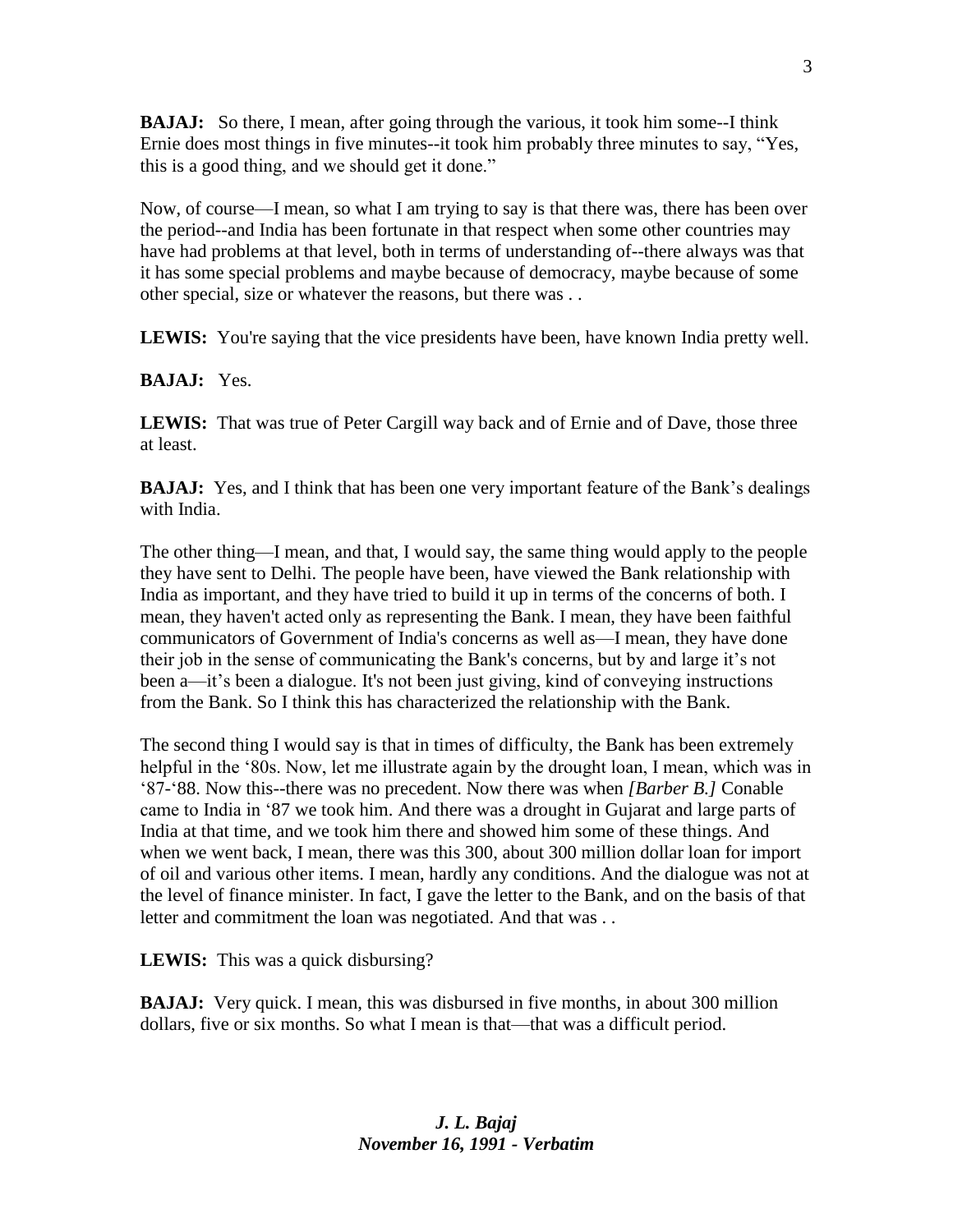**BAJAJ:** So there, I mean, after going through the various, it took him some--I think Ernie does most things in five minutes--it took him probably three minutes to say, "Yes, this is a good thing, and we should get it done."

Now, of course—I mean, so what I am trying to say is that there was, there has been over the period--and India has been fortunate in that respect when some other countries may have had problems at that level, both in terms of understanding of--there always was that it has some special problems and maybe because of democracy, maybe because of some other special, size or whatever the reasons, but there was . .

**LEWIS:** You're saying that the vice presidents have been, have known India pretty well.

#### **BAJAJ:** Yes.

**LEWIS:** That was true of Peter Cargill way back and of Ernie and of Dave, those three at least.

**BAJAJ:** Yes, and I think that has been one very important feature of the Bank's dealings with India.

The other thing—I mean, and that, I would say, the same thing would apply to the people they have sent to Delhi. The people have been, have viewed the Bank relationship with India as important, and they have tried to build it up in terms of the concerns of both. I mean, they haven't acted only as representing the Bank. I mean, they have been faithful communicators of Government of India's concerns as well as—I mean, they have done their job in the sense of communicating the Bank's concerns, but by and large it's not been a—it's been a dialogue. It's not been just giving, kind of conveying instructions from the Bank. So I think this has characterized the relationship with the Bank.

The second thing I would say is that in times of difficulty, the Bank has been extremely helpful in the '80s. Now, let me illustrate again by the drought loan, I mean, which was in '87-'88. Now this--there was no precedent. Now there was when *[Barber B.]* Conable came to India in '87 we took him. And there was a drought in Gujarat and large parts of India at that time, and we took him there and showed him some of these things. And when we went back, I mean, there was this 300, about 300 million dollar loan for import of oil and various other items. I mean, hardly any conditions. And the dialogue was not at the level of finance minister. In fact, I gave the letter to the Bank, and on the basis of that letter and commitment the loan was negotiated. And that was . .

**LEWIS:** This was a quick disbursing?

**BAJAJ:** Very quick. I mean, this was disbursed in five months, in about 300 million dollars, five or six months. So what I mean is that—that was a difficult period.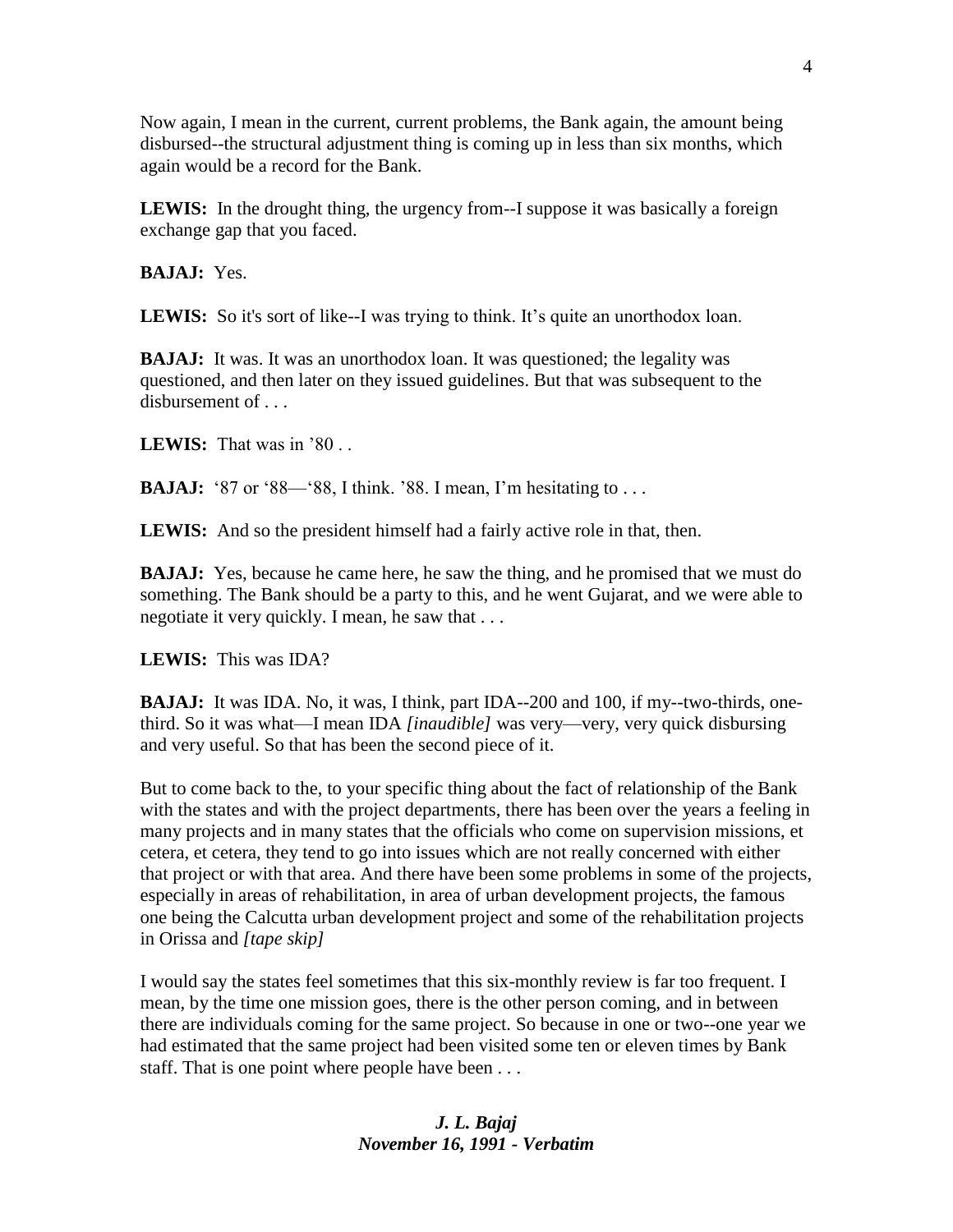Now again, I mean in the current, current problems, the Bank again, the amount being disbursed--the structural adjustment thing is coming up in less than six months, which again would be a record for the Bank.

**LEWIS:** In the drought thing, the urgency from--I suppose it was basically a foreign exchange gap that you faced.

**BAJAJ:** Yes.

LEWIS: So it's sort of like--I was trying to think. It's quite an unorthodox loan.

**BAJAJ:** It was. It was an unorthodox loan. It was questioned; the legality was questioned, and then later on they issued guidelines. But that was subsequent to the disbursement of . . .

**LEWIS:** That was in '80 . .

**BAJAJ:** '87 or '88—'88, I think. '88. I mean, I'm hesitating to . . .

**LEWIS:** And so the president himself had a fairly active role in that, then.

**BAJAJ:** Yes, because he came here, he saw the thing, and he promised that we must do something. The Bank should be a party to this, and he went Gujarat, and we were able to negotiate it very quickly. I mean, he saw that . . .

**LEWIS:** This was IDA?

**BAJAJ:** It was IDA. No, it was, I think, part IDA--200 and 100, if my--two-thirds, onethird. So it was what—I mean IDA *[inaudible]* was very—very, very quick disbursing and very useful. So that has been the second piece of it.

But to come back to the, to your specific thing about the fact of relationship of the Bank with the states and with the project departments, there has been over the years a feeling in many projects and in many states that the officials who come on supervision missions, et cetera, et cetera, they tend to go into issues which are not really concerned with either that project or with that area. And there have been some problems in some of the projects, especially in areas of rehabilitation, in area of urban development projects, the famous one being the Calcutta urban development project and some of the rehabilitation projects in Orissa and *[tape skip]*

I would say the states feel sometimes that this six-monthly review is far too frequent. I mean, by the time one mission goes, there is the other person coming, and in between there are individuals coming for the same project. So because in one or two--one year we had estimated that the same project had been visited some ten or eleven times by Bank staff. That is one point where people have been . . .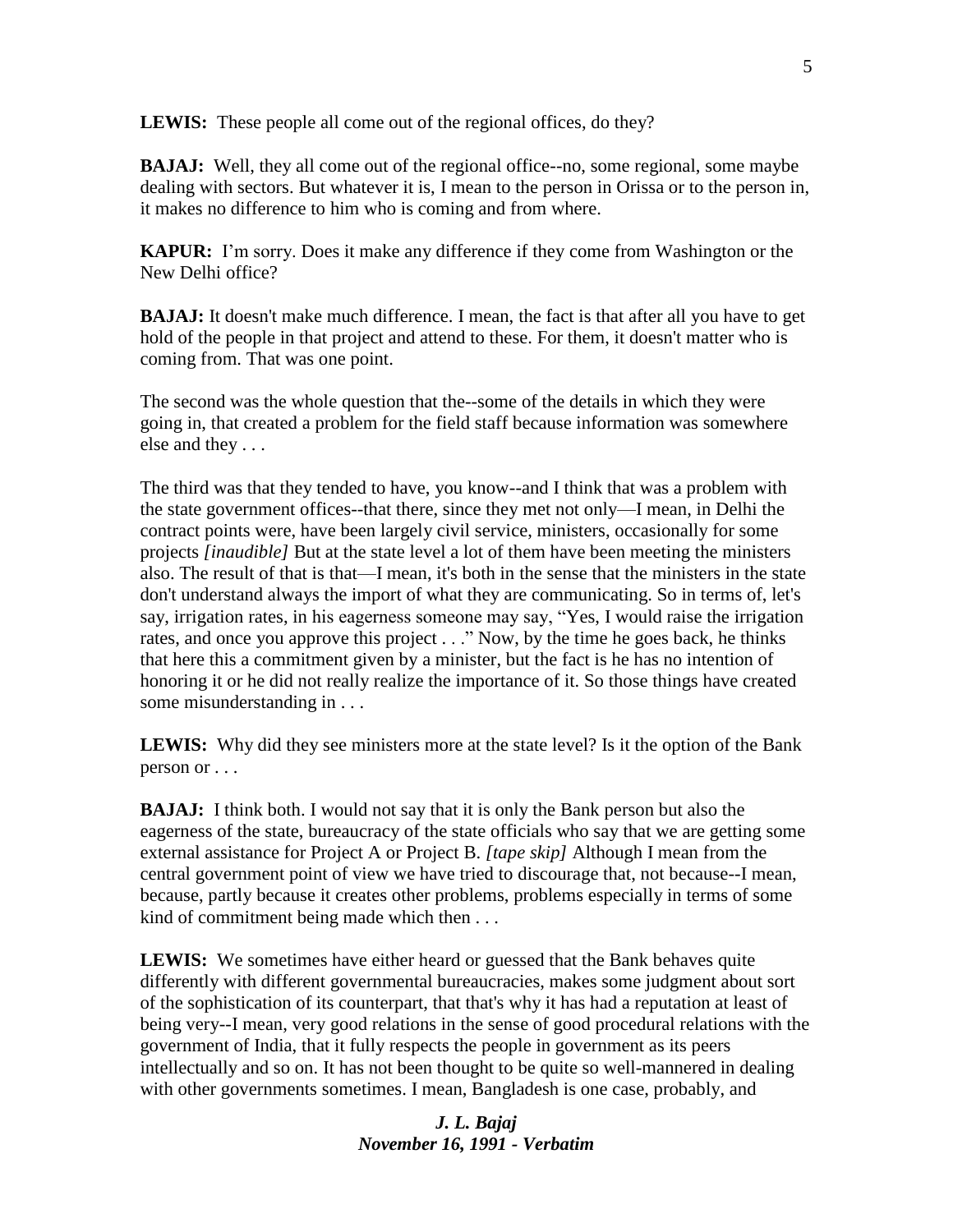**LEWIS:** These people all come out of the regional offices, do they?

**BAJAJ:** Well, they all come out of the regional office--no, some regional, some maybe dealing with sectors. But whatever it is, I mean to the person in Orissa or to the person in, it makes no difference to him who is coming and from where.

**KAPUR:** I'm sorry. Does it make any difference if they come from Washington or the New Delhi office?

**BAJAJ:** It doesn't make much difference. I mean, the fact is that after all you have to get hold of the people in that project and attend to these. For them, it doesn't matter who is coming from. That was one point.

The second was the whole question that the--some of the details in which they were going in, that created a problem for the field staff because information was somewhere else and they . . .

The third was that they tended to have, you know--and I think that was a problem with the state government offices--that there, since they met not only—I mean, in Delhi the contract points were, have been largely civil service, ministers, occasionally for some projects *[inaudible]* But at the state level a lot of them have been meeting the ministers also. The result of that is that—I mean, it's both in the sense that the ministers in the state don't understand always the import of what they are communicating. So in terms of, let's say, irrigation rates, in his eagerness someone may say, "Yes, I would raise the irrigation rates, and once you approve this project . . ." Now, by the time he goes back, he thinks that here this a commitment given by a minister, but the fact is he has no intention of honoring it or he did not really realize the importance of it. So those things have created some misunderstanding in . . .

**LEWIS:** Why did they see ministers more at the state level? Is it the option of the Bank person or . . .

**BAJAJ:** I think both. I would not say that it is only the Bank person but also the eagerness of the state, bureaucracy of the state officials who say that we are getting some external assistance for Project A or Project B. *[tape skip]* Although I mean from the central government point of view we have tried to discourage that, not because--I mean, because, partly because it creates other problems, problems especially in terms of some kind of commitment being made which then . . .

**LEWIS:** We sometimes have either heard or guessed that the Bank behaves quite differently with different governmental bureaucracies, makes some judgment about sort of the sophistication of its counterpart, that that's why it has had a reputation at least of being very--I mean, very good relations in the sense of good procedural relations with the government of India, that it fully respects the people in government as its peers intellectually and so on. It has not been thought to be quite so well-mannered in dealing with other governments sometimes. I mean, Bangladesh is one case, probably, and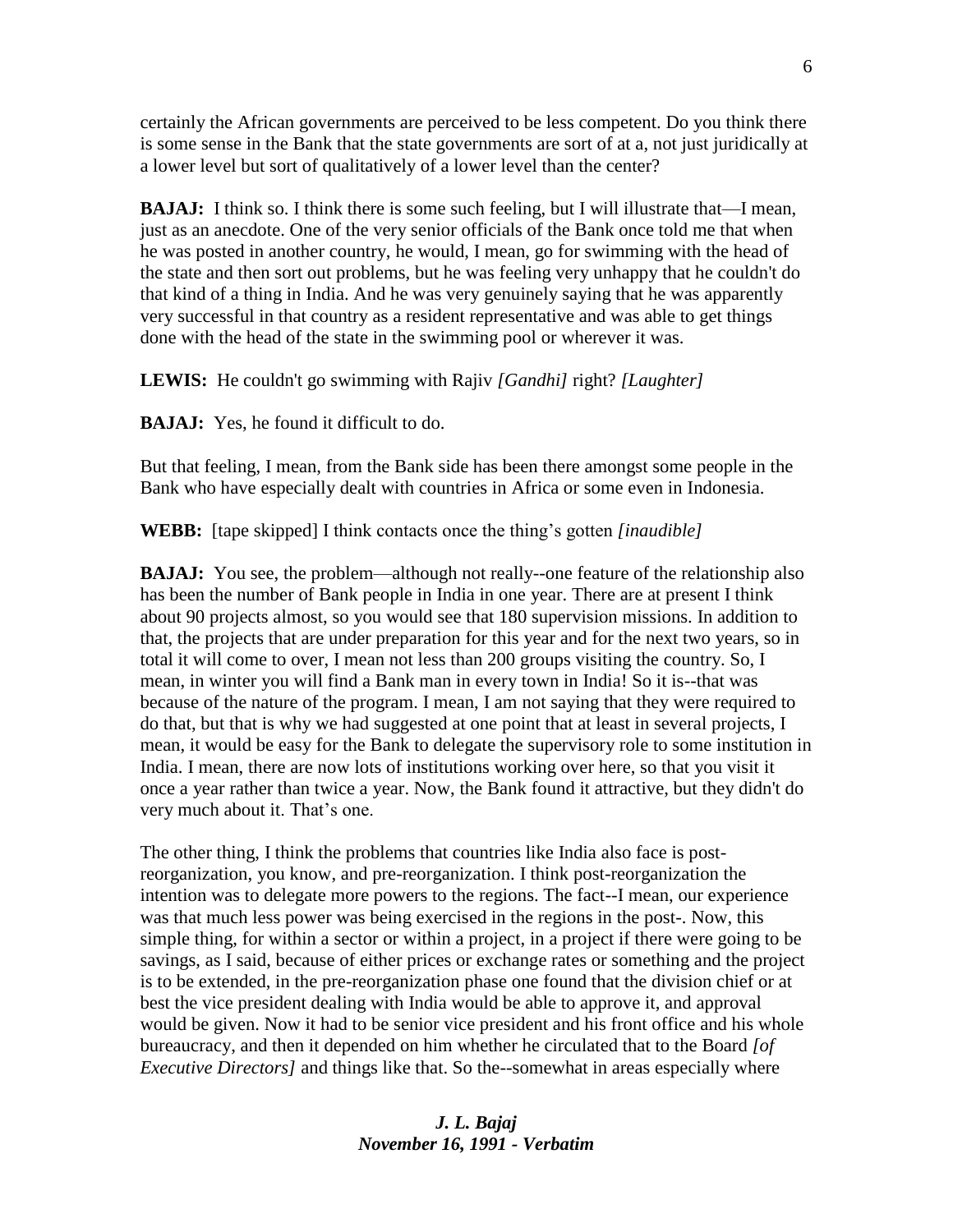certainly the African governments are perceived to be less competent. Do you think there is some sense in the Bank that the state governments are sort of at a, not just juridically at a lower level but sort of qualitatively of a lower level than the center?

**BAJAJ:** I think so. I think there is some such feeling, but I will illustrate that—I mean, just as an anecdote. One of the very senior officials of the Bank once told me that when he was posted in another country, he would, I mean, go for swimming with the head of the state and then sort out problems, but he was feeling very unhappy that he couldn't do that kind of a thing in India. And he was very genuinely saying that he was apparently very successful in that country as a resident representative and was able to get things done with the head of the state in the swimming pool or wherever it was.

**LEWIS:** He couldn't go swimming with Rajiv *[Gandhi]* right? *[Laughter]*

**BAJAJ:** Yes, he found it difficult to do.

But that feeling, I mean, from the Bank side has been there amongst some people in the Bank who have especially dealt with countries in Africa or some even in Indonesia.

**WEBB:** [tape skipped] I think contacts once the thing's gotten *[inaudible]*

**BAJAJ:** You see, the problem—although not really--one feature of the relationship also has been the number of Bank people in India in one year. There are at present I think about 90 projects almost, so you would see that 180 supervision missions. In addition to that, the projects that are under preparation for this year and for the next two years, so in total it will come to over, I mean not less than 200 groups visiting the country. So, I mean, in winter you will find a Bank man in every town in India! So it is--that was because of the nature of the program. I mean, I am not saying that they were required to do that, but that is why we had suggested at one point that at least in several projects, I mean, it would be easy for the Bank to delegate the supervisory role to some institution in India. I mean, there are now lots of institutions working over here, so that you visit it once a year rather than twice a year. Now, the Bank found it attractive, but they didn't do very much about it. That's one.

The other thing, I think the problems that countries like India also face is postreorganization, you know, and pre-reorganization. I think post-reorganization the intention was to delegate more powers to the regions. The fact--I mean, our experience was that much less power was being exercised in the regions in the post-. Now, this simple thing, for within a sector or within a project, in a project if there were going to be savings, as I said, because of either prices or exchange rates or something and the project is to be extended, in the pre-reorganization phase one found that the division chief or at best the vice president dealing with India would be able to approve it, and approval would be given. Now it had to be senior vice president and his front office and his whole bureaucracy, and then it depended on him whether he circulated that to the Board *[of Executive Directors]* and things like that. So the--somewhat in areas especially where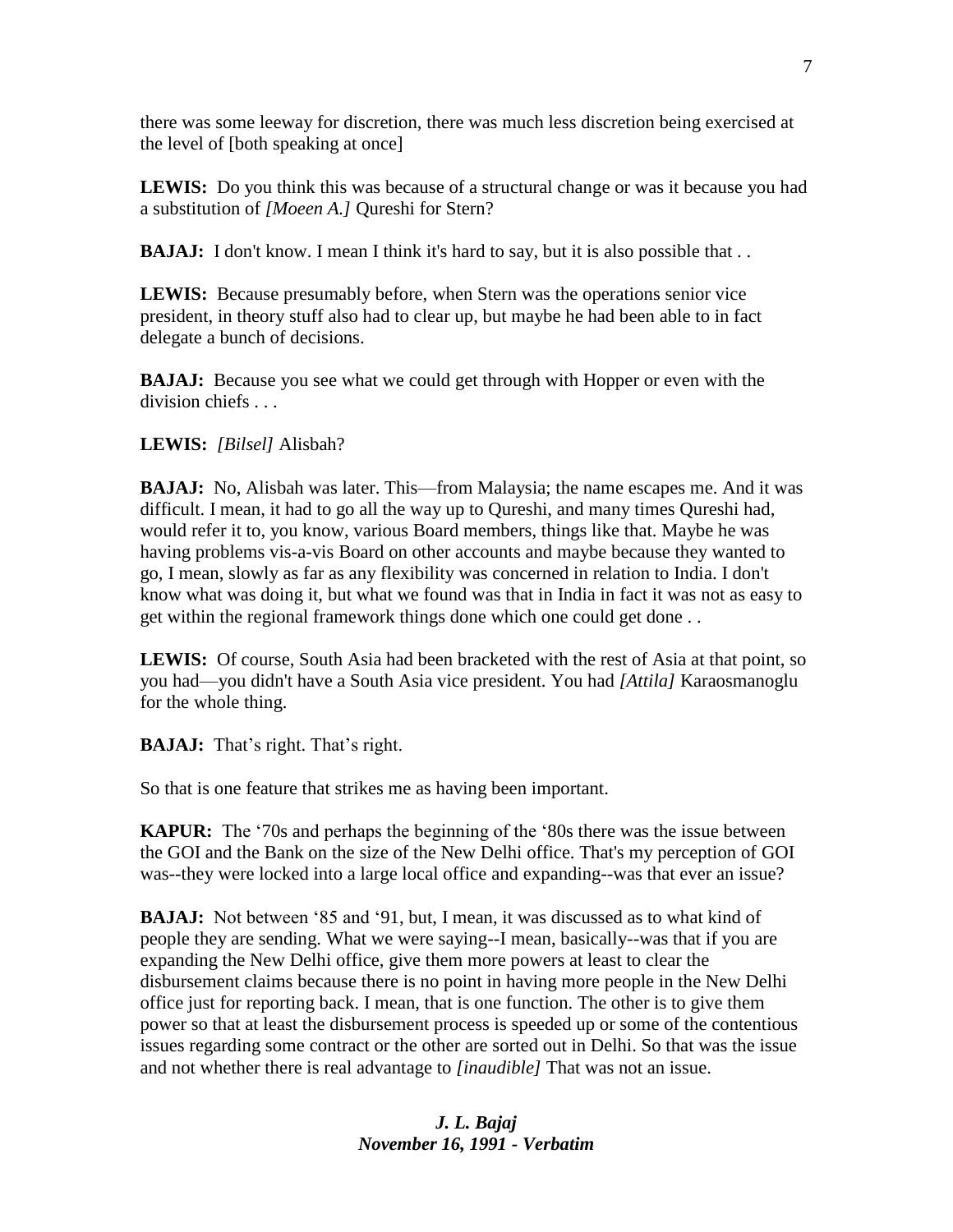there was some leeway for discretion, there was much less discretion being exercised at the level of [both speaking at once]

**LEWIS:** Do you think this was because of a structural change or was it because you had a substitution of *[Moeen A.]* Qureshi for Stern?

**BAJAJ:** I don't know. I mean I think it's hard to say, but it is also possible that . .

**LEWIS:** Because presumably before, when Stern was the operations senior vice president, in theory stuff also had to clear up, but maybe he had been able to in fact delegate a bunch of decisions.

**BAJAJ:** Because you see what we could get through with Hopper or even with the division chiefs . . .

## **LEWIS:** *[Bilsel]* Alisbah?

**BAJAJ:** No, Alisbah was later. This—from Malaysia; the name escapes me. And it was difficult. I mean, it had to go all the way up to Qureshi, and many times Qureshi had, would refer it to, you know, various Board members, things like that. Maybe he was having problems vis-a-vis Board on other accounts and maybe because they wanted to go, I mean, slowly as far as any flexibility was concerned in relation to India. I don't know what was doing it, but what we found was that in India in fact it was not as easy to get within the regional framework things done which one could get done . .

**LEWIS:** Of course, South Asia had been bracketed with the rest of Asia at that point, so you had—you didn't have a South Asia vice president. You had *[Attila]* Karaosmanoglu for the whole thing.

**BAJAJ:** That's right. That's right.

So that is one feature that strikes me as having been important.

**KAPUR:** The '70s and perhaps the beginning of the '80s there was the issue between the GOI and the Bank on the size of the New Delhi office. That's my perception of GOI was--they were locked into a large local office and expanding--was that ever an issue?

**BAJAJ:** Not between '85 and '91, but, I mean, it was discussed as to what kind of people they are sending. What we were saying--I mean, basically--was that if you are expanding the New Delhi office, give them more powers at least to clear the disbursement claims because there is no point in having more people in the New Delhi office just for reporting back. I mean, that is one function. The other is to give them power so that at least the disbursement process is speeded up or some of the contentious issues regarding some contract or the other are sorted out in Delhi. So that was the issue and not whether there is real advantage to *[inaudible]* That was not an issue.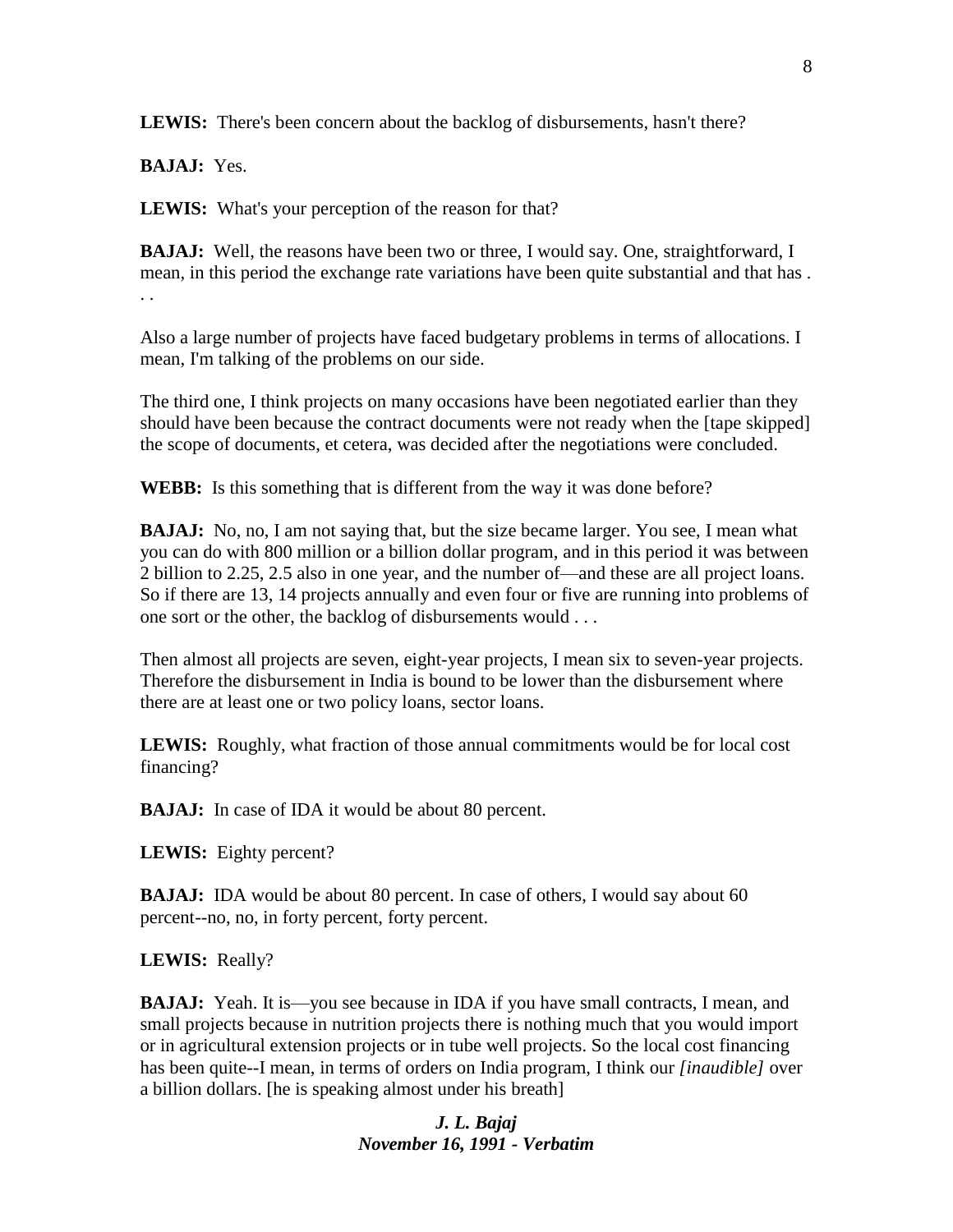**LEWIS:** There's been concern about the backlog of disbursements, hasn't there?

**BAJAJ:** Yes.

**LEWIS:** What's your perception of the reason for that?

**BAJAJ:** Well, the reasons have been two or three, I would say. One, straightforward, I mean, in this period the exchange rate variations have been quite substantial and that has . . .

Also a large number of projects have faced budgetary problems in terms of allocations. I mean, I'm talking of the problems on our side.

The third one, I think projects on many occasions have been negotiated earlier than they should have been because the contract documents were not ready when the [tape skipped] the scope of documents, et cetera, was decided after the negotiations were concluded.

**WEBB:** Is this something that is different from the way it was done before?

**BAJAJ:** No, no, I am not saying that, but the size became larger. You see, I mean what you can do with 800 million or a billion dollar program, and in this period it was between 2 billion to 2.25, 2.5 also in one year, and the number of—and these are all project loans. So if there are 13, 14 projects annually and even four or five are running into problems of one sort or the other, the backlog of disbursements would . . .

Then almost all projects are seven, eight-year projects, I mean six to seven-year projects. Therefore the disbursement in India is bound to be lower than the disbursement where there are at least one or two policy loans, sector loans.

**LEWIS:** Roughly, what fraction of those annual commitments would be for local cost financing?

**BAJAJ:** In case of IDA it would be about 80 percent.

**LEWIS:** Eighty percent?

**BAJAJ:** IDA would be about 80 percent. In case of others, I would say about 60 percent--no, no, in forty percent, forty percent.

**LEWIS:** Really?

**BAJAJ:** Yeah. It is—you see because in IDA if you have small contracts, I mean, and small projects because in nutrition projects there is nothing much that you would import or in agricultural extension projects or in tube well projects. So the local cost financing has been quite--I mean, in terms of orders on India program, I think our *[inaudible]* over a billion dollars. [he is speaking almost under his breath]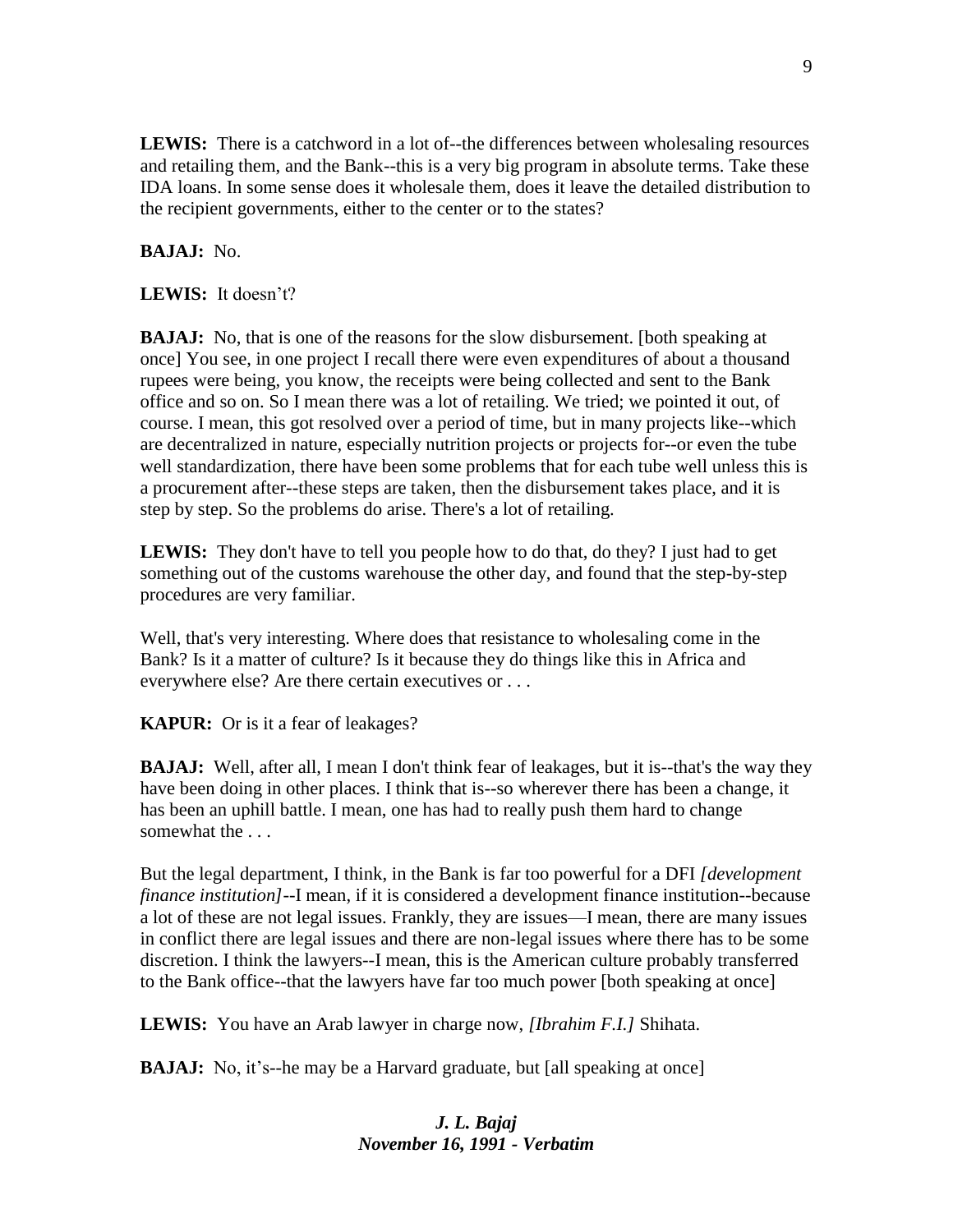LEWIS: There is a catchword in a lot of--the differences between wholesaling resources and retailing them, and the Bank--this is a very big program in absolute terms. Take these IDA loans. In some sense does it wholesale them, does it leave the detailed distribution to the recipient governments, either to the center or to the states?

## **BAJAJ:** No.

**LEWIS:** It doesn't?

**BAJAJ:** No, that is one of the reasons for the slow disbursement. [both speaking at once] You see, in one project I recall there were even expenditures of about a thousand rupees were being, you know, the receipts were being collected and sent to the Bank office and so on. So I mean there was a lot of retailing. We tried; we pointed it out, of course. I mean, this got resolved over a period of time, but in many projects like--which are decentralized in nature, especially nutrition projects or projects for--or even the tube well standardization, there have been some problems that for each tube well unless this is a procurement after--these steps are taken, then the disbursement takes place, and it is step by step. So the problems do arise. There's a lot of retailing.

**LEWIS:** They don't have to tell you people how to do that, do they? I just had to get something out of the customs warehouse the other day, and found that the step-by-step procedures are very familiar.

Well, that's very interesting. Where does that resistance to wholesaling come in the Bank? Is it a matter of culture? Is it because they do things like this in Africa and everywhere else? Are there certain executives or . . .

**KAPUR:** Or is it a fear of leakages?

**BAJAJ:** Well, after all, I mean I don't think fear of leakages, but it is--that's the way they have been doing in other places. I think that is--so wherever there has been a change, it has been an uphill battle. I mean, one has had to really push them hard to change somewhat the . . .

But the legal department, I think, in the Bank is far too powerful for a DFI *[development finance institution]*--I mean, if it is considered a development finance institution--because a lot of these are not legal issues. Frankly, they are issues—I mean, there are many issues in conflict there are legal issues and there are non-legal issues where there has to be some discretion. I think the lawyers--I mean, this is the American culture probably transferred to the Bank office--that the lawyers have far too much power [both speaking at once]

**LEWIS:** You have an Arab lawyer in charge now, *[Ibrahim F.I.]* Shihata.

**BAJAJ:** No, it's--he may be a Harvard graduate, but [all speaking at once]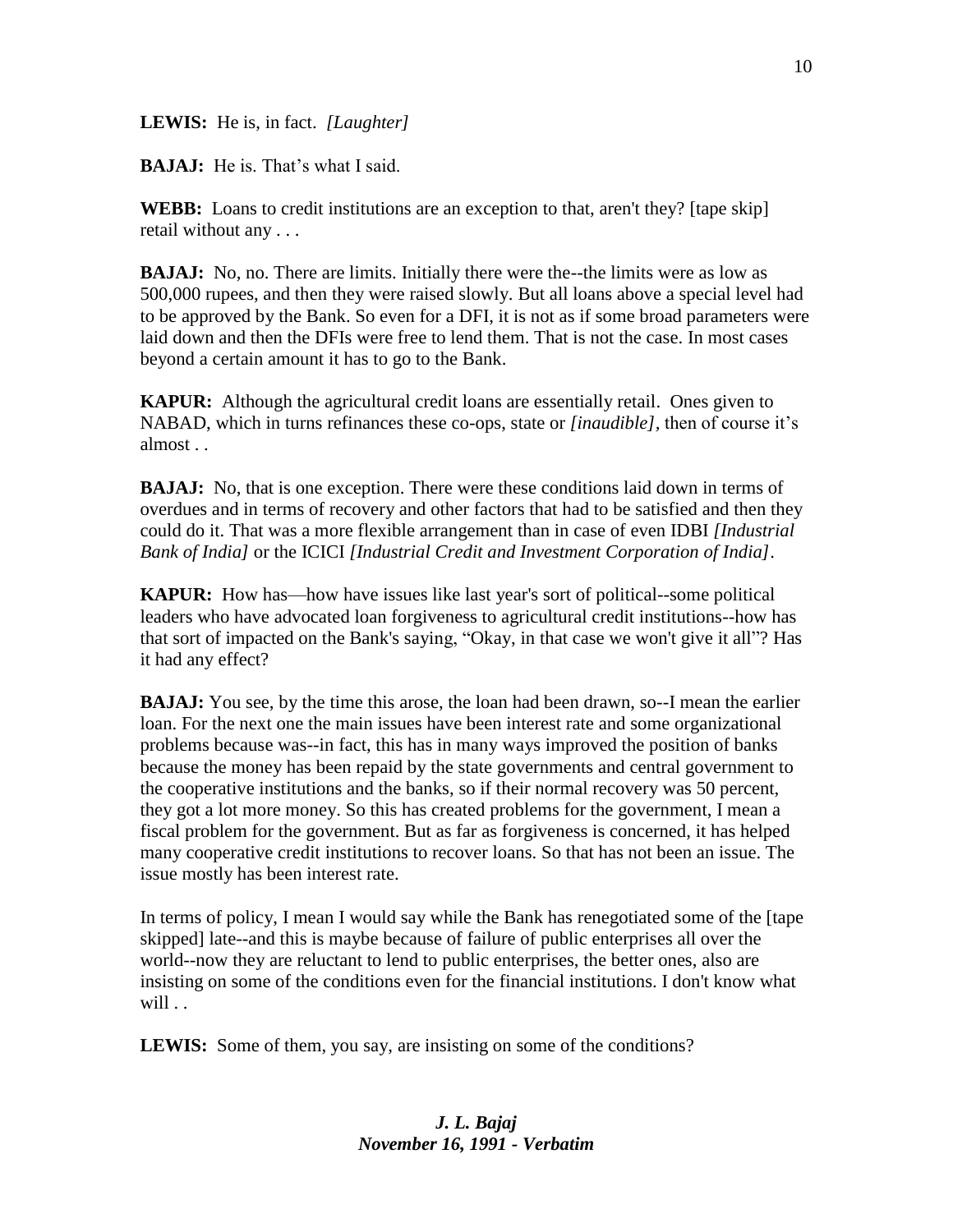**LEWIS:** He is, in fact. *[Laughter]*

**BAJAJ:** He is. That's what I said.

**WEBB:** Loans to credit institutions are an exception to that, aren't they? [tape skip] retail without any . . .

**BAJAJ:** No, no. There are limits. Initially there were the--the limits were as low as 500,000 rupees, and then they were raised slowly. But all loans above a special level had to be approved by the Bank. So even for a DFI, it is not as if some broad parameters were laid down and then the DFIs were free to lend them. That is not the case. In most cases beyond a certain amount it has to go to the Bank.

**KAPUR:** Although the agricultural credit loans are essentially retail. Ones given to NABAD, which in turns refinances these co-ops, state or *[inaudible],* then of course it's almost . .

**BAJAJ:** No, that is one exception. There were these conditions laid down in terms of overdues and in terms of recovery and other factors that had to be satisfied and then they could do it. That was a more flexible arrangement than in case of even IDBI *[Industrial Bank of India]* or the ICICI *[Industrial Credit and Investment Corporation of India]*.

**KAPUR:** How has—how have issues like last year's sort of political--some political leaders who have advocated loan forgiveness to agricultural credit institutions--how has that sort of impacted on the Bank's saying, "Okay, in that case we won't give it all"? Has it had any effect?

**BAJAJ:** You see, by the time this arose, the loan had been drawn, so--I mean the earlier loan. For the next one the main issues have been interest rate and some organizational problems because was--in fact, this has in many ways improved the position of banks because the money has been repaid by the state governments and central government to the cooperative institutions and the banks, so if their normal recovery was 50 percent, they got a lot more money. So this has created problems for the government, I mean a fiscal problem for the government. But as far as forgiveness is concerned, it has helped many cooperative credit institutions to recover loans. So that has not been an issue. The issue mostly has been interest rate.

In terms of policy, I mean I would say while the Bank has renegotiated some of the [tape skipped] late--and this is maybe because of failure of public enterprises all over the world--now they are reluctant to lend to public enterprises, the better ones, also are insisting on some of the conditions even for the financial institutions. I don't know what will . .

**LEWIS:** Some of them, you say, are insisting on some of the conditions?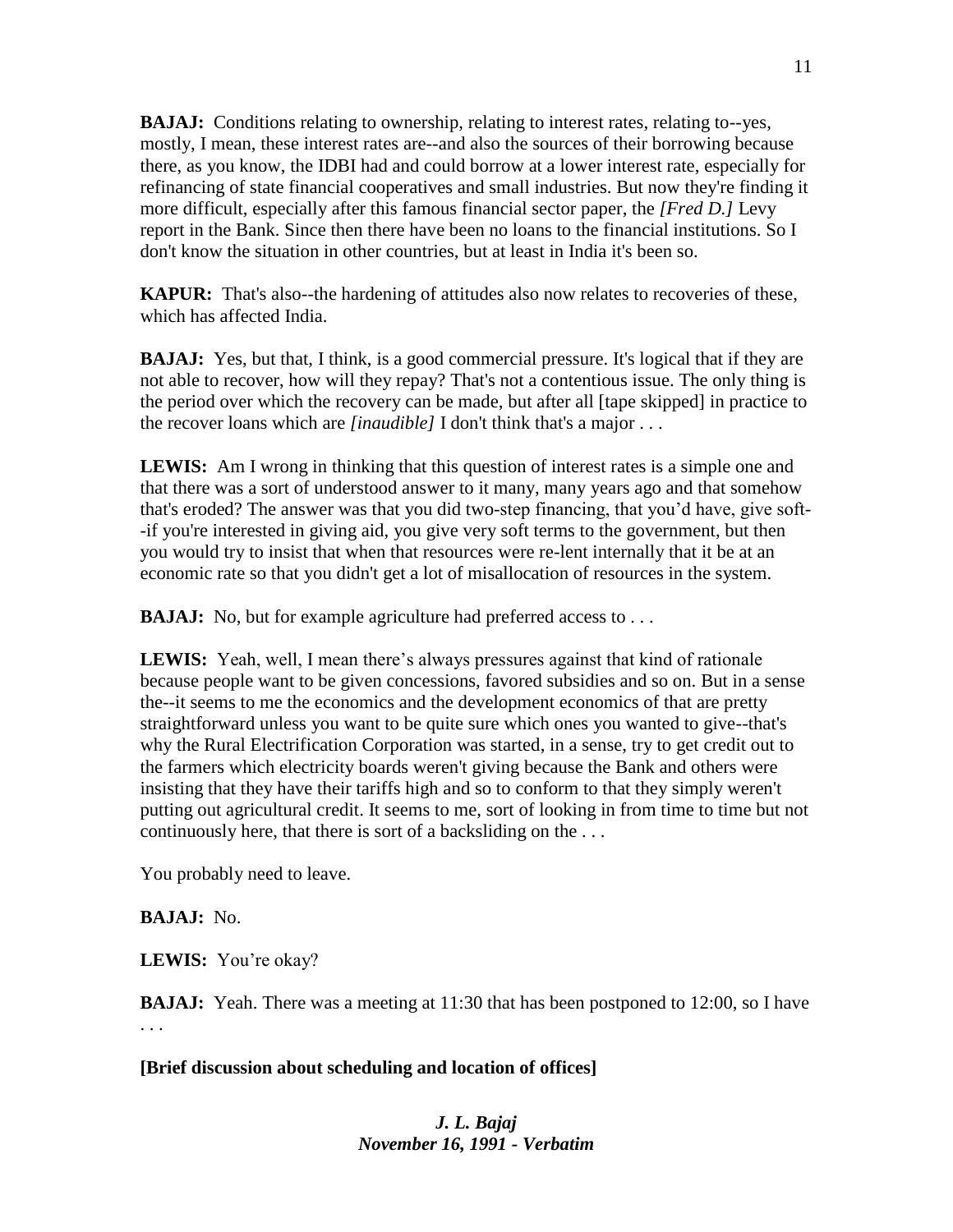**BAJAJ:** Conditions relating to ownership, relating to interest rates, relating to--yes, mostly, I mean, these interest rates are--and also the sources of their borrowing because there, as you know, the IDBI had and could borrow at a lower interest rate, especially for refinancing of state financial cooperatives and small industries. But now they're finding it more difficult, especially after this famous financial sector paper, the *[Fred D.]* Levy report in the Bank. Since then there have been no loans to the financial institutions. So I don't know the situation in other countries, but at least in India it's been so.

**KAPUR:** That's also--the hardening of attitudes also now relates to recoveries of these, which has affected India.

**BAJAJ:** Yes, but that, I think, is a good commercial pressure. It's logical that if they are not able to recover, how will they repay? That's not a contentious issue. The only thing is the period over which the recovery can be made, but after all [tape skipped] in practice to the recover loans which are *[inaudible]* I don't think that's a major . . .

**LEWIS:** Am I wrong in thinking that this question of interest rates is a simple one and that there was a sort of understood answer to it many, many years ago and that somehow that's eroded? The answer was that you did two-step financing, that you'd have, give soft- -if you're interested in giving aid, you give very soft terms to the government, but then you would try to insist that when that resources were re-lent internally that it be at an economic rate so that you didn't get a lot of misallocation of resources in the system.

**BAJAJ:** No, but for example agriculture had preferred access to . . .

**LEWIS:** Yeah, well, I mean there's always pressures against that kind of rationale because people want to be given concessions, favored subsidies and so on. But in a sense the--it seems to me the economics and the development economics of that are pretty straightforward unless you want to be quite sure which ones you wanted to give--that's why the Rural Electrification Corporation was started, in a sense, try to get credit out to the farmers which electricity boards weren't giving because the Bank and others were insisting that they have their tariffs high and so to conform to that they simply weren't putting out agricultural credit. It seems to me, sort of looking in from time to time but not continuously here, that there is sort of a backsliding on the . . .

You probably need to leave.

**BAJAJ:** No.

**LEWIS:** You're okay?

**BAJAJ:** Yeah. There was a meeting at 11:30 that has been postponed to 12:00, so I have . . .

**[Brief discussion about scheduling and location of offices]**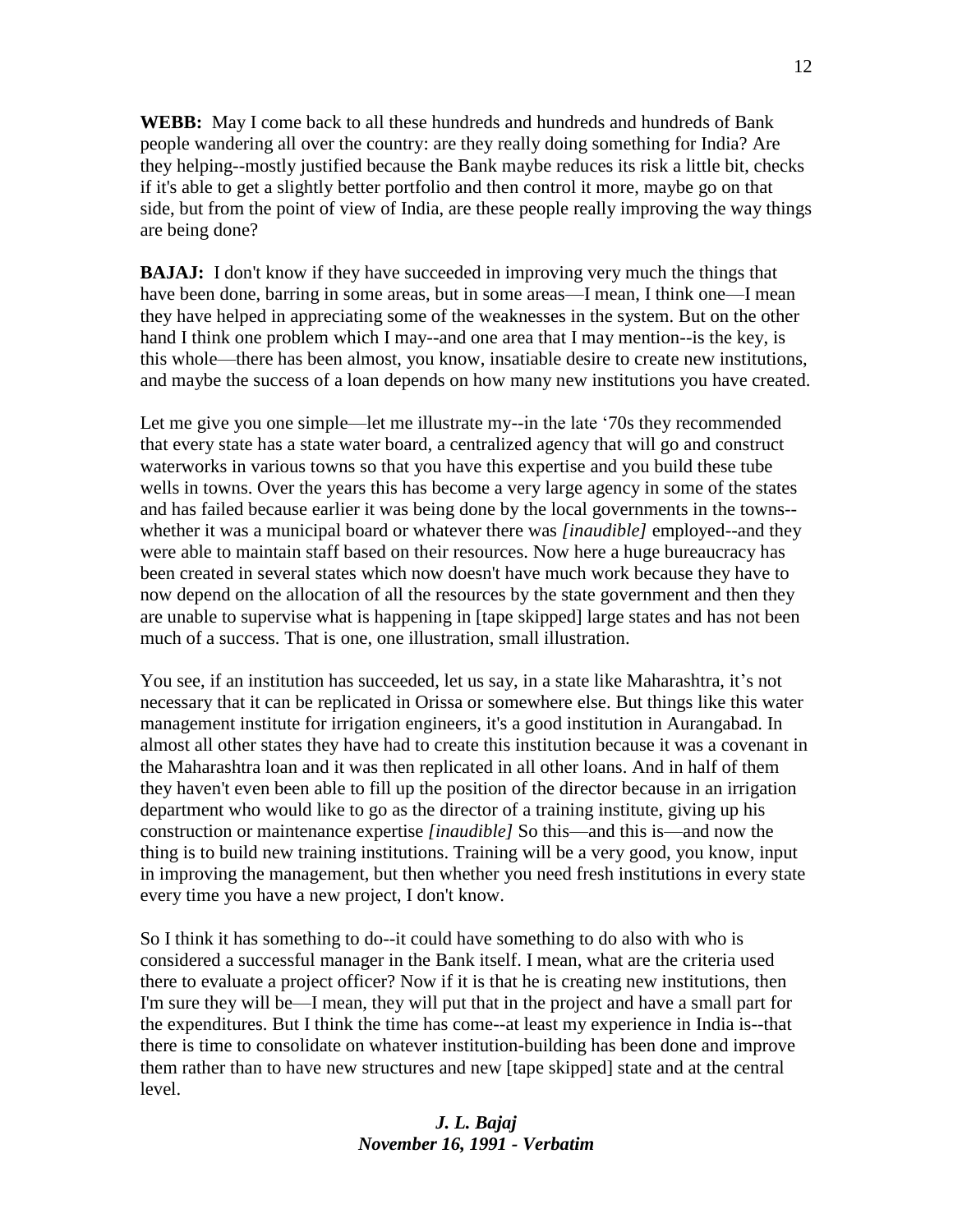**WEBB:** May I come back to all these hundreds and hundreds and hundreds of Bank people wandering all over the country: are they really doing something for India? Are they helping--mostly justified because the Bank maybe reduces its risk a little bit, checks if it's able to get a slightly better portfolio and then control it more, maybe go on that side, but from the point of view of India, are these people really improving the way things are being done?

**BAJAJ:** I don't know if they have succeeded in improving very much the things that have been done, barring in some areas, but in some areas—I mean, I think one—I mean they have helped in appreciating some of the weaknesses in the system. But on the other hand I think one problem which I may--and one area that I may mention--is the key, is this whole—there has been almost, you know, insatiable desire to create new institutions, and maybe the success of a loan depends on how many new institutions you have created.

Let me give you one simple—let me illustrate my--in the late '70s they recommended that every state has a state water board, a centralized agency that will go and construct waterworks in various towns so that you have this expertise and you build these tube wells in towns. Over the years this has become a very large agency in some of the states and has failed because earlier it was being done by the local governments in the towns- whether it was a municipal board or whatever there was *[inaudible]* employed--and they were able to maintain staff based on their resources. Now here a huge bureaucracy has been created in several states which now doesn't have much work because they have to now depend on the allocation of all the resources by the state government and then they are unable to supervise what is happening in [tape skipped] large states and has not been much of a success. That is one, one illustration, small illustration.

You see, if an institution has succeeded, let us say, in a state like Maharashtra, it's not necessary that it can be replicated in Orissa or somewhere else. But things like this water management institute for irrigation engineers, it's a good institution in Aurangabad. In almost all other states they have had to create this institution because it was a covenant in the Maharashtra loan and it was then replicated in all other loans. And in half of them they haven't even been able to fill up the position of the director because in an irrigation department who would like to go as the director of a training institute, giving up his construction or maintenance expertise *[inaudible]* So this—and this is—and now the thing is to build new training institutions. Training will be a very good, you know, input in improving the management, but then whether you need fresh institutions in every state every time you have a new project, I don't know.

So I think it has something to do--it could have something to do also with who is considered a successful manager in the Bank itself. I mean, what are the criteria used there to evaluate a project officer? Now if it is that he is creating new institutions, then I'm sure they will be—I mean, they will put that in the project and have a small part for the expenditures. But I think the time has come--at least my experience in India is--that there is time to consolidate on whatever institution-building has been done and improve them rather than to have new structures and new [tape skipped] state and at the central level.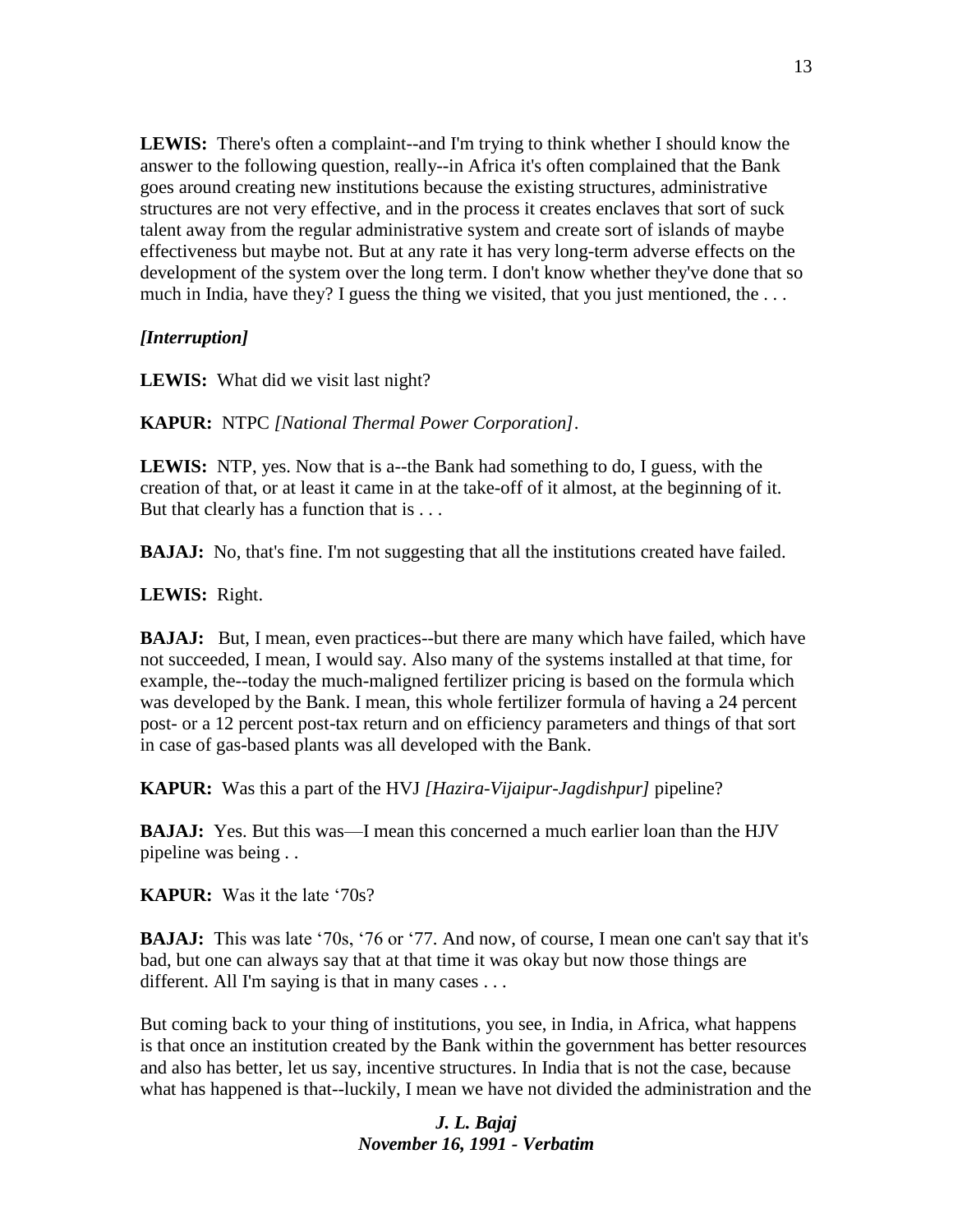**LEWIS:** There's often a complaint--and I'm trying to think whether I should know the answer to the following question, really--in Africa it's often complained that the Bank goes around creating new institutions because the existing structures, administrative structures are not very effective, and in the process it creates enclaves that sort of suck talent away from the regular administrative system and create sort of islands of maybe effectiveness but maybe not. But at any rate it has very long-term adverse effects on the development of the system over the long term. I don't know whether they've done that so much in India, have they? I guess the thing we visited, that you just mentioned, the ...

### *[Interruption]*

LEWIS: What did we visit last night?

**KAPUR:** NTPC *[National Thermal Power Corporation]*.

**LEWIS:** NTP, yes. Now that is a--the Bank had something to do, I guess, with the creation of that, or at least it came in at the take-off of it almost, at the beginning of it. But that clearly has a function that is . . .

**BAJAJ:** No, that's fine. I'm not suggesting that all the institutions created have failed.

**LEWIS:** Right.

**BAJAJ:** But, I mean, even practices--but there are many which have failed, which have not succeeded, I mean, I would say. Also many of the systems installed at that time, for example, the--today the much-maligned fertilizer pricing is based on the formula which was developed by the Bank. I mean, this whole fertilizer formula of having a 24 percent post- or a 12 percent post-tax return and on efficiency parameters and things of that sort in case of gas-based plants was all developed with the Bank.

**KAPUR:** Was this a part of the HVJ *[\[Hazira](https://en.wikipedia.org/wiki/Hazira)[-Vijaipur](https://en.wikipedia.org/wiki/Vijaipur)[-Jagdishpur\]](https://en.wikipedia.org/wiki/Jagdishpur_(Industrial_Area))* pipeline?

**BAJAJ:** Yes. But this was—I mean this concerned a much earlier loan than the HJV pipeline was being . .

**KAPUR:** Was it the late '70s?

**BAJAJ:** This was late '70s, '76 or '77. And now, of course, I mean one can't say that it's bad, but one can always say that at that time it was okay but now those things are different. All I'm saying is that in many cases . . .

But coming back to your thing of institutions, you see, in India, in Africa, what happens is that once an institution created by the Bank within the government has better resources and also has better, let us say, incentive structures. In India that is not the case, because what has happened is that--luckily, I mean we have not divided the administration and the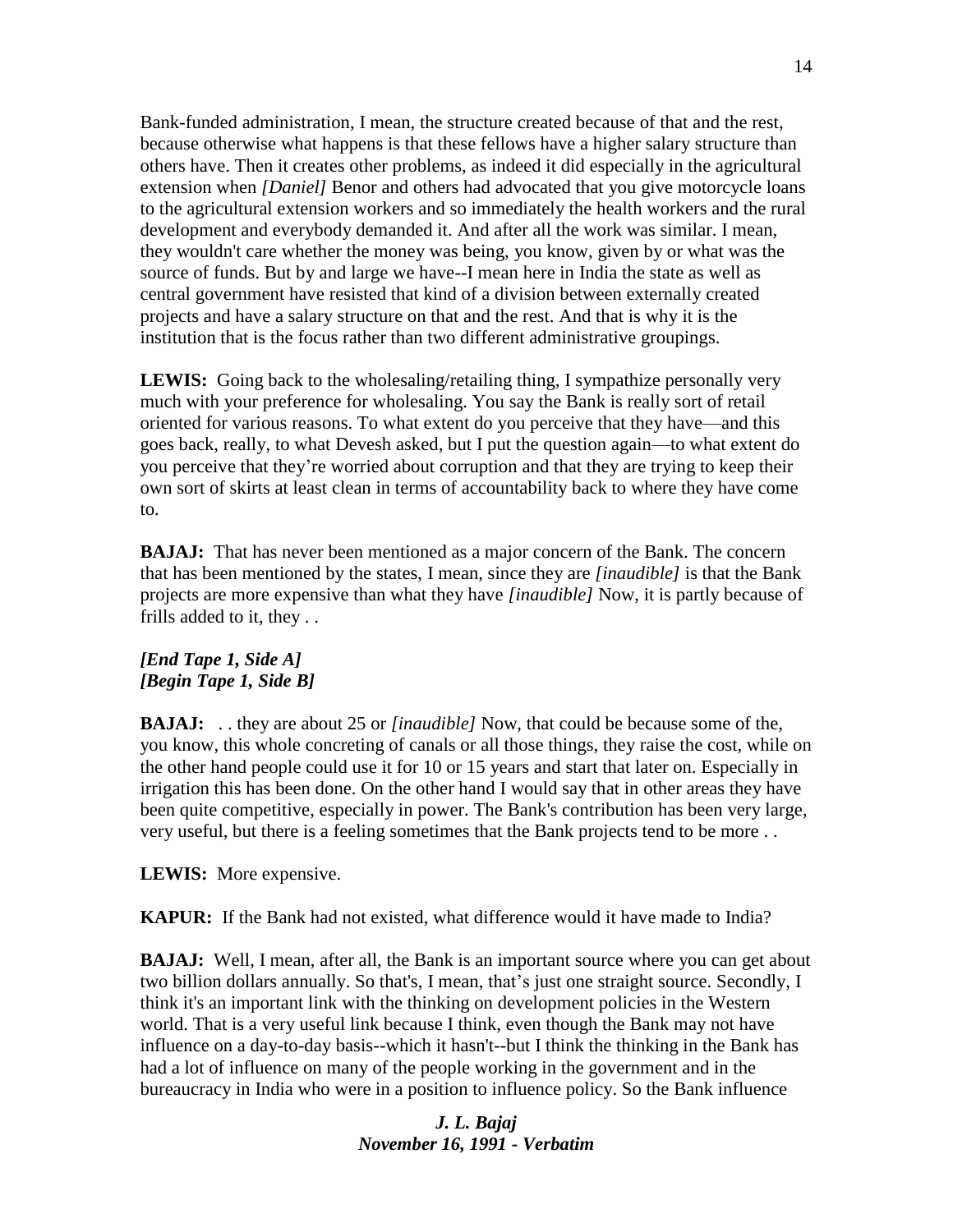Bank-funded administration, I mean, the structure created because of that and the rest, because otherwise what happens is that these fellows have a higher salary structure than others have. Then it creates other problems, as indeed it did especially in the agricultural extension when *[Daniel]* Benor and others had advocated that you give motorcycle loans to the agricultural extension workers and so immediately the health workers and the rural development and everybody demanded it. And after all the work was similar. I mean, they wouldn't care whether the money was being, you know, given by or what was the source of funds. But by and large we have--I mean here in India the state as well as central government have resisted that kind of a division between externally created projects and have a salary structure on that and the rest. And that is why it is the institution that is the focus rather than two different administrative groupings.

**LEWIS:** Going back to the wholesaling/retailing thing, I sympathize personally very much with your preference for wholesaling. You say the Bank is really sort of retail oriented for various reasons. To what extent do you perceive that they have—and this goes back, really, to what Devesh asked, but I put the question again—to what extent do you perceive that they're worried about corruption and that they are trying to keep their own sort of skirts at least clean in terms of accountability back to where they have come to.

**BAJAJ:** That has never been mentioned as a major concern of the Bank. The concern that has been mentioned by the states, I mean, since they are *[inaudible]* is that the Bank projects are more expensive than what they have *[inaudible]* Now, it is partly because of frills added to it, they . .

## *[End Tape 1, Side A] [Begin Tape 1, Side B]*

**BAJAJ:** . . they are about 25 or *[inaudible]* Now, that could be because some of the, you know, this whole concreting of canals or all those things, they raise the cost, while on the other hand people could use it for 10 or 15 years and start that later on. Especially in irrigation this has been done. On the other hand I would say that in other areas they have been quite competitive, especially in power. The Bank's contribution has been very large, very useful, but there is a feeling sometimes that the Bank projects tend to be more . .

**LEWIS:** More expensive.

**KAPUR:** If the Bank had not existed, what difference would it have made to India?

**BAJAJ:** Well, I mean, after all, the Bank is an important source where you can get about two billion dollars annually. So that's, I mean, that's just one straight source. Secondly, I think it's an important link with the thinking on development policies in the Western world. That is a very useful link because I think, even though the Bank may not have influence on a day-to-day basis--which it hasn't--but I think the thinking in the Bank has had a lot of influence on many of the people working in the government and in the bureaucracy in India who were in a position to influence policy. So the Bank influence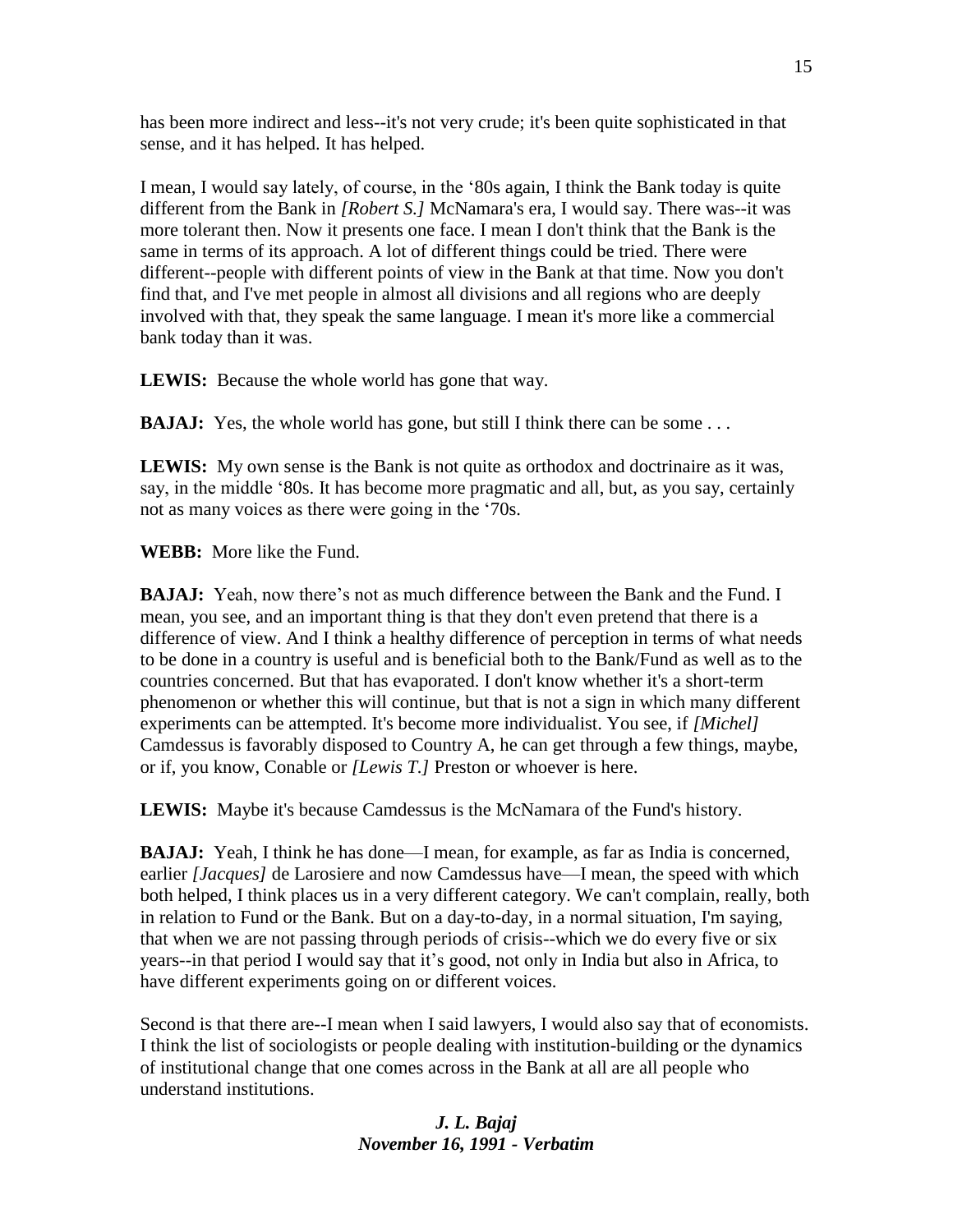has been more indirect and less--it's not very crude; it's been quite sophisticated in that sense, and it has helped. It has helped.

I mean, I would say lately, of course, in the '80s again, I think the Bank today is quite different from the Bank in *[Robert S.]* McNamara's era, I would say. There was--it was more tolerant then. Now it presents one face. I mean I don't think that the Bank is the same in terms of its approach. A lot of different things could be tried. There were different--people with different points of view in the Bank at that time. Now you don't find that, and I've met people in almost all divisions and all regions who are deeply involved with that, they speak the same language. I mean it's more like a commercial bank today than it was.

**LEWIS:** Because the whole world has gone that way.

**BAJAJ:** Yes, the whole world has gone, but still I think there can be some ...

**LEWIS:** My own sense is the Bank is not quite as orthodox and doctrinaire as it was, say, in the middle '80s. It has become more pragmatic and all, but, as you say, certainly not as many voices as there were going in the '70s.

**WEBB:** More like the Fund.

**BAJAJ:** Yeah, now there's not as much difference between the Bank and the Fund. I mean, you see, and an important thing is that they don't even pretend that there is a difference of view. And I think a healthy difference of perception in terms of what needs to be done in a country is useful and is beneficial both to the Bank/Fund as well as to the countries concerned. But that has evaporated. I don't know whether it's a short-term phenomenon or whether this will continue, but that is not a sign in which many different experiments can be attempted. It's become more individualist. You see, if *[Michel]*  Camdessus is favorably disposed to Country A, he can get through a few things, maybe, or if, you know, Conable or *[Lewis T.]* Preston or whoever is here.

**LEWIS:** Maybe it's because Camdessus is the McNamara of the Fund's history.

**BAJAJ:** Yeah, I think he has done—I mean, for example, as far as India is concerned, earlier *[Jacques]* de Larosiere and now Camdessus have—I mean, the speed with which both helped, I think places us in a very different category. We can't complain, really, both in relation to Fund or the Bank. But on a day-to-day, in a normal situation, I'm saying, that when we are not passing through periods of crisis--which we do every five or six years--in that period I would say that it's good, not only in India but also in Africa, to have different experiments going on or different voices.

Second is that there are--I mean when I said lawyers, I would also say that of economists. I think the list of sociologists or people dealing with institution-building or the dynamics of institutional change that one comes across in the Bank at all are all people who understand institutions.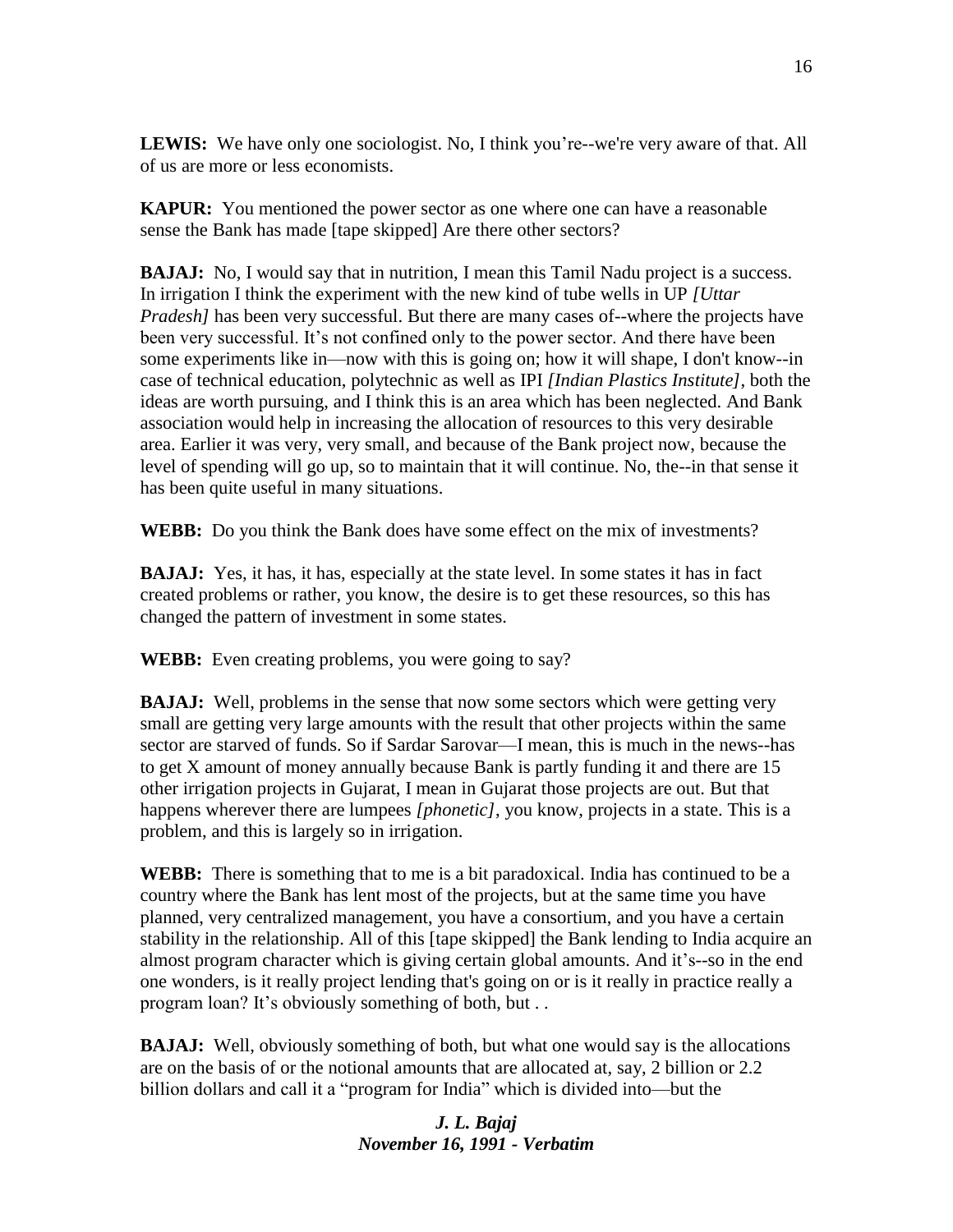LEWIS: We have only one sociologist. No, I think you're--we're very aware of that. All of us are more or less economists.

**KAPUR:** You mentioned the power sector as one where one can have a reasonable sense the Bank has made [tape skipped] Are there other sectors?

**BAJAJ:** No, I would say that in nutrition, I mean this Tamil Nadu project is a success. In irrigation I think the experiment with the new kind of tube wells in UP *[Uttar Pradesh]* has been very successful. But there are many cases of--where the projects have been very successful. It's not confined only to the power sector. And there have been some experiments like in—now with this is going on; how it will shape, I don't know--in case of technical education, polytechnic as well as IPI *[Indian Plastics Institute]*, both the ideas are worth pursuing, and I think this is an area which has been neglected. And Bank association would help in increasing the allocation of resources to this very desirable area. Earlier it was very, very small, and because of the Bank project now, because the level of spending will go up, so to maintain that it will continue. No, the--in that sense it has been quite useful in many situations.

**WEBB:** Do you think the Bank does have some effect on the mix of investments?

**BAJAJ:** Yes, it has, it has, especially at the state level. In some states it has in fact created problems or rather, you know, the desire is to get these resources, so this has changed the pattern of investment in some states.

**WEBB:** Even creating problems, you were going to say?

**BAJAJ:** Well, problems in the sense that now some sectors which were getting very small are getting very large amounts with the result that other projects within the same sector are starved of funds. So if Sardar Sarovar—I mean, this is much in the news--has to get X amount of money annually because Bank is partly funding it and there are 15 other irrigation projects in Gujarat, I mean in Gujarat those projects are out. But that happens wherever there are lumpees *[phonetic]*, you know, projects in a state. This is a problem, and this is largely so in irrigation.

**WEBB:** There is something that to me is a bit paradoxical. India has continued to be a country where the Bank has lent most of the projects, but at the same time you have planned, very centralized management, you have a consortium, and you have a certain stability in the relationship. All of this [tape skipped] the Bank lending to India acquire an almost program character which is giving certain global amounts. And it's--so in the end one wonders, is it really project lending that's going on or is it really in practice really a program loan? It's obviously something of both, but . .

**BAJAJ:** Well, obviously something of both, but what one would say is the allocations are on the basis of or the notional amounts that are allocated at, say, 2 billion or 2.2 billion dollars and call it a "program for India" which is divided into—but the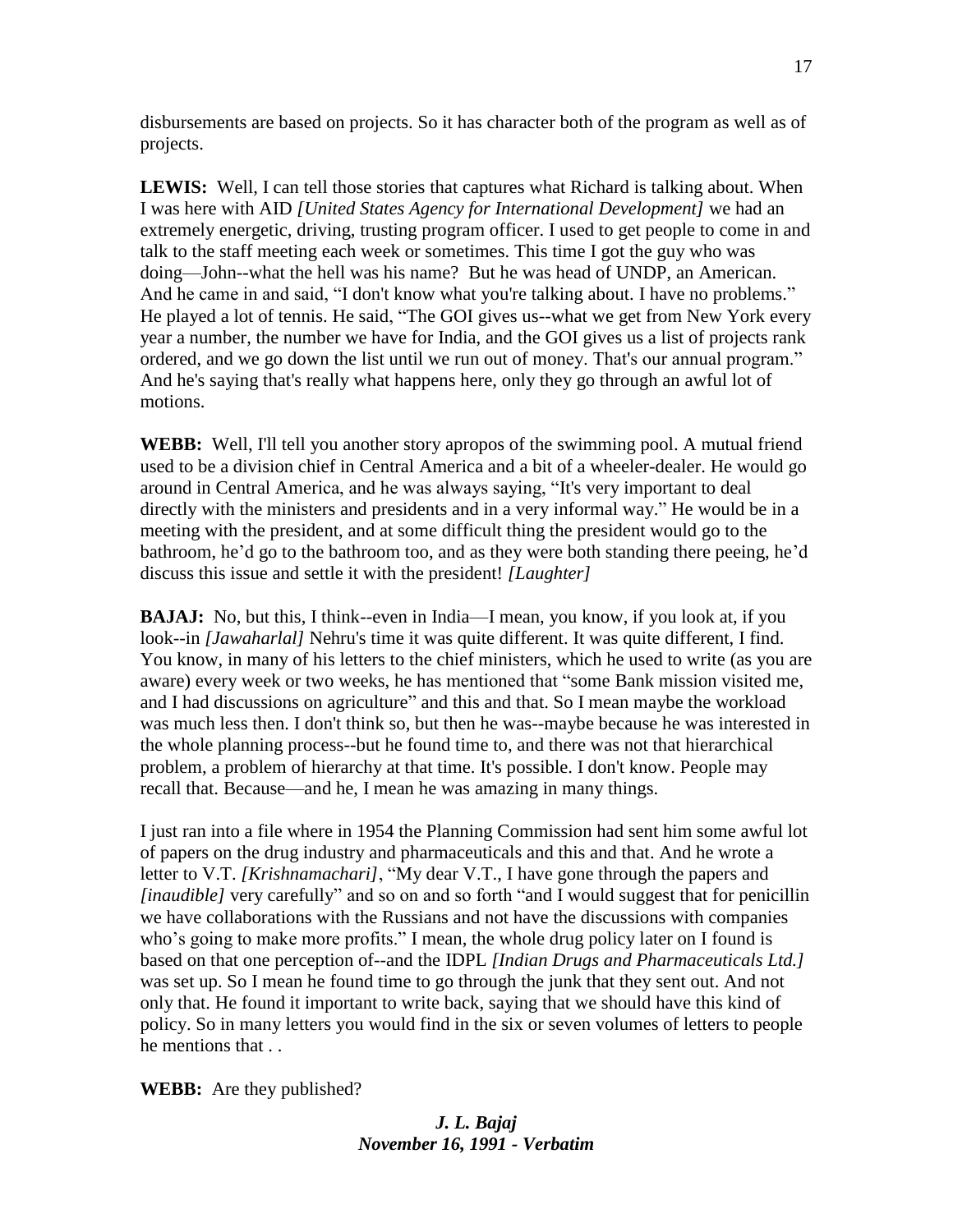disbursements are based on projects. So it has character both of the program as well as of projects.

**LEWIS:** Well, I can tell those stories that captures what Richard is talking about. When I was here with AID *[United States Agency for International Development]* we had an extremely energetic, driving, trusting program officer. I used to get people to come in and talk to the staff meeting each week or sometimes. This time I got the guy who was doing—John--what the hell was his name? But he was head of UNDP, an American. And he came in and said, "I don't know what you're talking about. I have no problems." He played a lot of tennis. He said, "The GOI gives us--what we get from New York every year a number, the number we have for India, and the GOI gives us a list of projects rank ordered, and we go down the list until we run out of money. That's our annual program." And he's saying that's really what happens here, only they go through an awful lot of motions.

**WEBB:** Well, I'll tell you another story apropos of the swimming pool. A mutual friend used to be a division chief in Central America and a bit of a wheeler-dealer. He would go around in Central America, and he was always saying, "It's very important to deal directly with the ministers and presidents and in a very informal way." He would be in a meeting with the president, and at some difficult thing the president would go to the bathroom, he'd go to the bathroom too, and as they were both standing there peeing, he'd discuss this issue and settle it with the president! *[Laughter]*

**BAJAJ:** No, but this, I think--even in India—I mean, you know, if you look at, if you look--in *[Jawaharlal]* Nehru's time it was quite different. It was quite different, I find. You know, in many of his letters to the chief ministers, which he used to write (as you are aware) every week or two weeks, he has mentioned that "some Bank mission visited me, and I had discussions on agriculture" and this and that. So I mean maybe the workload was much less then. I don't think so, but then he was--maybe because he was interested in the whole planning process--but he found time to, and there was not that hierarchical problem, a problem of hierarchy at that time. It's possible. I don't know. People may recall that. Because—and he, I mean he was amazing in many things.

I just ran into a file where in 1954 the Planning Commission had sent him some awful lot of papers on the drug industry and pharmaceuticals and this and that. And he wrote a letter to V.T. *[Krishnamachari]*, "My dear V.T., I have gone through the papers and *[inaudible]* very carefully" and so on and so forth "and I would suggest that for penicillin we have collaborations with the Russians and not have the discussions with companies who's going to make more profits." I mean, the whole drug policy later on I found is based on that one perception of--and the IDPL *[Indian Drugs and Pharmaceuticals Ltd.]*  was set up. So I mean he found time to go through the junk that they sent out. And not only that. He found it important to write back, saying that we should have this kind of policy. So in many letters you would find in the six or seven volumes of letters to people he mentions that . .

**WEBB:** Are they published?